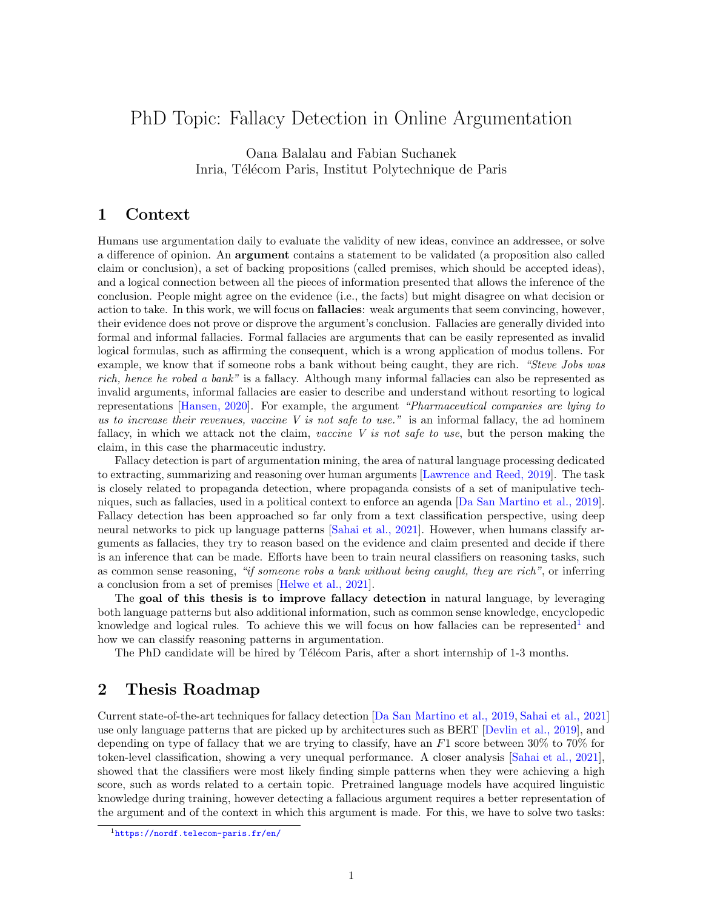# PhD Topic: Fallacy Detection in Online Argumentation

Oana Balalau and Fabian Suchanek Inria, Télécom Paris, Institut Polytechnique de Paris

### 1 Context

Humans use argumentation daily to evaluate the validity of new ideas, convince an addressee, or solve a difference of opinion. An argument contains a statement to be validated (a proposition also called claim or conclusion), a set of backing propositions (called premises, which should be accepted ideas), and a logical connection between all the pieces of information presented that allows the inference of the conclusion. People might agree on the evidence (i.e., the facts) but might disagree on what decision or action to take. In this work, we will focus on fallacies: weak arguments that seem convincing, however, their evidence does not prove or disprove the argument's conclusion. Fallacies are generally divided into formal and informal fallacies. Formal fallacies are arguments that can be easily represented as invalid logical formulas, such as affirming the consequent, which is a wrong application of modus tollens. For example, we know that if someone robs a bank without being caught, they are rich. "Steve Jobs was rich, hence he robed a bank" is a fallacy. Although many informal fallacies can also be represented as invalid arguments, informal fallacies are easier to describe and understand without resorting to logical representations [\[Hansen, 2020\]](#page-2-0). For example, the argument "Pharmaceutical companies are lying to us to increase their revenues, vaccine V is not safe to use." is an informal fallacy, the ad hominem fallacy, in which we attack not the claim, vaccine  $V$  is not safe to use, but the person making the claim, in this case the pharmaceutic industry.

Fallacy detection is part of argumentation mining, the area of natural language processing dedicated to extracting, summarizing and reasoning over human arguments [\[Lawrence and Reed, 2019\]](#page-2-1). The task is closely related to propaganda detection, where propaganda consists of a set of manipulative techniques, such as fallacies, used in a political context to enforce an agenda [\[Da San Martino et al., 2019\]](#page-2-2). Fallacy detection has been approached so far only from a text classification perspective, using deep neural networks to pick up language patterns [\[Sahai et al., 2021\]](#page-2-3). However, when humans classify arguments as fallacies, they try to reason based on the evidence and claim presented and decide if there is an inference that can be made. Efforts have been to train neural classifiers on reasoning tasks, such as common sense reasoning, "if someone robs a bank without being caught, they are rich", or inferring a conclusion from a set of premises [\[Helwe et al., 2021\]](#page-2-4).

The goal of this thesis is to improve fallacy detection in natural language, by leveraging both language patterns but also additional information, such as common sense knowledge, encyclopedic knowledge and logical rules. To achieve this we will focus on how fallacies can be represented<sup>[1](#page-0-0)</sup> and how we can classify reasoning patterns in argumentation.

The PhD candidate will be hired by Télécom Paris, after a short internship of 1-3 months.

#### 2 Thesis Roadmap

Current state-of-the-art techniques for fallacy detection [\[Da San Martino et al., 2019,](#page-2-2) [Sahai et al., 2021\]](#page-2-3) use only language patterns that are picked up by architectures such as BERT [\[Devlin et al., 2019\]](#page-2-5), and depending on type of fallacy that we are trying to classify, have an  $F1$  score between  $30\%$  to  $70\%$  for token-level classification, showing a very unequal performance. A closer analysis [\[Sahai et al., 2021\]](#page-2-3), showed that the classifiers were most likely finding simple patterns when they were achieving a high score, such as words related to a certain topic. Pretrained language models have acquired linguistic knowledge during training, however detecting a fallacious argument requires a better representation of the argument and of the context in which this argument is made. For this, we have to solve two tasks:

<span id="page-0-0"></span><sup>1</sup><https://nordf.telecom-paris.fr/en/>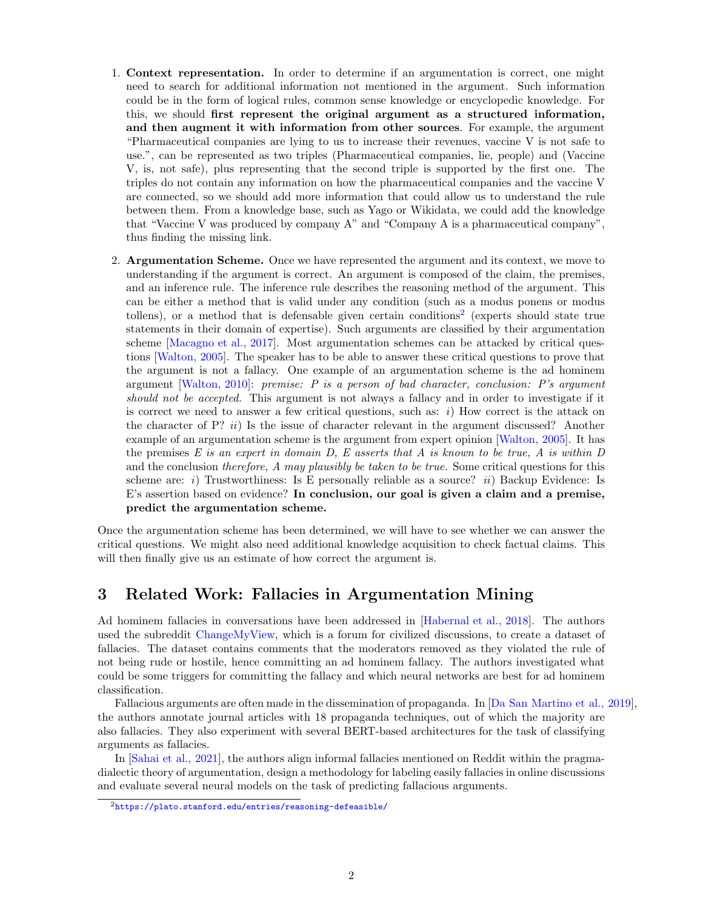- 1. Context representation. In order to determine if an argumentation is correct, one might need to search for additional information not mentioned in the argument. Such information could be in the form of logical rules, common sense knowledge or encyclopedic knowledge. For this, we should first represent the original argument as a structured information, and then augment it with information from other sources. For example, the argument "Pharmaceutical companies are lying to us to increase their revenues, vaccine V is not safe to use.", can be represented as two triples (Pharmaceutical companies, lie, people) and (Vaccine V, is, not safe), plus representing that the second triple is supported by the first one. The triples do not contain any information on how the pharmaceutical companies and the vaccine V are connected, so we should add more information that could allow us to understand the rule between them. From a knowledge base, such as Yago or Wikidata, we could add the knowledge that "Vaccine V was produced by company A" and "Company A is a pharmaceutical company", thus finding the missing link.
- 2. Argumentation Scheme. Once we have represented the argument and its context, we move to understanding if the argument is correct. An argument is composed of the claim, the premises, and an inference rule. The inference rule describes the reasoning method of the argument. This can be either a method that is valid under any condition (such as a modus ponens or modus tollens), or a method that is defensable given certain conditions<sup>[2](#page-1-0)</sup> (experts should state true statements in their domain of expertise). Such arguments are classified by their argumentation scheme [\[Macagno et al., 2017\]](#page-2-6). Most argumentation schemes can be attacked by critical questions [\[Walton, 2005\]](#page-2-7). The speaker has to be able to answer these critical questions to prove that the argument is not a fallacy. One example of an argumentation scheme is the ad hominem argument [\[Walton, 2010\]](#page-2-8): premise: P is a person of bad character, conclusion: P's argument should not be accepted. This argument is not always a fallacy and in order to investigate if it is correct we need to answer a few critical questions, such as:  $i)$  How correct is the attack on the character of  $P$ ? *ii*) Is the issue of character relevant in the argument discussed? Another example of an argumentation scheme is the argument from expert opinion [\[Walton, 2005\]](#page-2-7). It has the premises  $E$  is an expert in domain  $D, E$  asserts that  $A$  is known to be true,  $A$  is within  $D$ and the conclusion therefore, A may plausibly be taken to be true. Some critical questions for this scheme are: i) Trustworthiness: Is E personally reliable as a source? ii) Backup Evidence: Is E's assertion based on evidence? In conclusion, our goal is given a claim and a premise, predict the argumentation scheme.

Once the argumentation scheme has been determined, we will have to see whether we can answer the critical questions. We might also need additional knowledge acquisition to check factual claims. This will then finally give us an estimate of how correct the argument is.

## 3 Related Work: Fallacies in Argumentation Mining

Ad hominem fallacies in conversations have been addressed in [\[Habernal et al., 2018\]](#page-2-9). The authors used the subreddit [ChangeMyView,](https://www.reddit.com/r/changemyview/) which is a forum for civilized discussions, to create a dataset of fallacies. The dataset contains comments that the moderators removed as they violated the rule of not being rude or hostile, hence committing an ad hominem fallacy. The authors investigated what could be some triggers for committing the fallacy and which neural networks are best for ad hominem classification.

Fallacious arguments are often made in the dissemination of propaganda. In [\[Da San Martino et al., 2019\]](#page-2-2), the authors annotate journal articles with 18 propaganda techniques, out of which the majority are also fallacies. They also experiment with several BERT-based architectures for the task of classifying arguments as fallacies.

In [\[Sahai et al., 2021\]](#page-2-3), the authors align informal fallacies mentioned on Reddit within the pragmadialectic theory of argumentation, design a methodology for labeling easily fallacies in online discussions and evaluate several neural models on the task of predicting fallacious arguments.

<span id="page-1-0"></span><sup>2</sup><https://plato.stanford.edu/entries/reasoning-defeasible/>